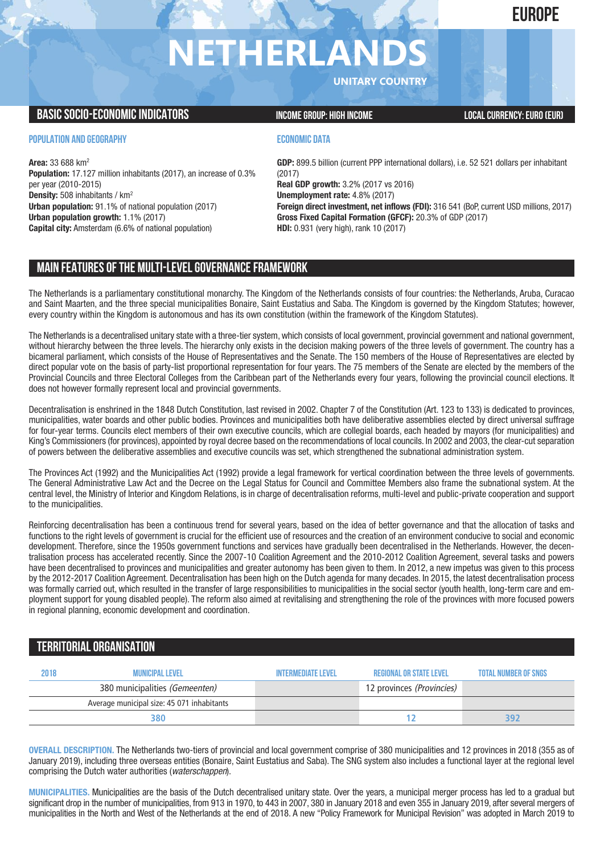# **EUROPE**

# **NETHERLAN**

**UNITARY COUNTRY**

## **BASIC SOCIO-ECONOMIC INDICATORS INCOME GROUP:** HIGH INCOME GROUP: HIGH INCOME

### **POPULATION AND GEOGRAPHY**

**Area:** 33 688 km2 **Population:** 17.127 million inhabitants (2017), an increase of 0.3% per year (2010-2015) **Density:** 508 inhabitants / km2 **Urban population:** 91.1% of national population (2017) **Urban population growth:** 1.1% (2017) **Capital city:** Amsterdam (6.6% of national population)

### **ECONOMIC DATA**

**GDP:** 899.5 billion (current PPP international dollars), i.e. 52 521 dollars per inhabitant (2017) **Real GDP growth:** 3.2% (2017 vs 2016) **Unemployment rate:** 4.8% (2017) **Foreign direct investment, net inflows (FDI):** 316 541 (BoP, current USD millions, 2017) **Gross Fixed Capital Formation (GFCF):** 20.3% of GDP (2017) **HDI:** 0.931 (very high), rank 10 (2017)

# **MAIN FEATURESOFTHE MULTI-LEVELGOVERNANCEFRAMEWORK**

The Netherlands is a parliamentary constitutional monarchy. The Kingdom of the Netherlands consists of four countries: the Netherlands, Aruba, Curacao and Saint Maarten, and the three special municipalities Bonaire, Saint Eustatius and Saba. The Kingdom is governed by the Kingdom Statutes; however, every country within the Kingdom is autonomous and has its own constitution (within the framework of the Kingdom Statutes).

The Netherlands is a decentralised unitary state with a three-tier system, which consists of local government, provincial government and national government, without hierarchy between the three levels. The hierarchy only exists in the decision making powers of the three levels of government. The country has a bicameral parliament, which consists of the House of Representatives and the Senate. The 150 members of the House of Representatives are elected by direct popular vote on the basis of party-list proportional representation for four years. The 75 members of the Senate are elected by the members of the Provincial Councils and three Electoral Colleges from the Caribbean part of the Netherlands every four years, following the provincial council elections. It does not however formally represent local and provincial governments.

Decentralisation is enshrined in the 1848 Dutch Constitution, last revised in 2002. Chapter 7 of the Constitution (Art. 123 to 133) is dedicated to provinces, municipalities, water boards and other public bodies. Provinces and municipalities both have deliberative assemblies elected by direct universal suffrage for four-year terms. Councils elect members of their own executive councils, which are collegial boards, each headed by mayors (for municipalities) and King's Commissioners (for provinces), appointed by royal decree based on the recommendations of local councils. In 2002 and 2003, the clear-cut separation of powers between the deliberative assemblies and executive councils was set, which strengthened the subnational administration system.

The Provinces Act (1992) and the Municipalities Act (1992) provide a legal framework for vertical coordination between the three levels of governments. The General Administrative Law Act and the Decree on the Legal Status for Council and Committee Members also frame the subnational system. At the central level, the Ministry of Interior and Kingdom Relations, is in charge of decentralisation reforms, multi-level and public-private cooperation and support to the municipalities.

Reinforcing decentralisation has been a continuous trend for several years, based on the idea of better governance and that the allocation of tasks and functions to the right levels of government is crucial for the efficient use of resources and the creation of an environment conducive to social and economic development. Therefore, since the 1950s government functions and services have gradually been decentralised in the Netherlands. However, the decentralisation process has accelerated recently. Since the 2007-10 Coalition Agreement and the 2010-2012 Coalition Agreement, several tasks and powers have been decentralised to provinces and municipalities and greater autonomy has been given to them. In 2012, a new impetus was given to this process by the 2012-2017 Coalition Agreement. Decentralisation has been high on the Dutch agenda for many decades. In 2015, the latest decentralisation process was formally carried out, which resulted in the transfer of large responsibilities to municipalities in the social sector (youth health, long-term care and employment support for young disabled people). The reform also aimed at revitalising and strengthening the role of the provinces with more focused powers in regional planning, economic development and coordination.

# **TERRITORIALORGANISATION**

| 2018 | MUNICIPAL LEVEL                            | INTFRMFDIATF I FVFI | REGIONAL OR STATE LEVEL   | <b>TOTAL NUMBER OF SNGS</b> |
|------|--------------------------------------------|---------------------|---------------------------|-----------------------------|
|      | 380 municipalities (Gemeenten)             |                     | 12 provinces (Provincies) |                             |
|      | Average municipal size: 45 071 inhabitants |                     |                           |                             |
|      | 380                                        |                     |                           |                             |

**OVERALL DESCRIPTION.** The Netherlands two-tiers of provincial and local government comprise of 380 municipalities and 12 provinces in 2018 (355 as of January 2019), including three overseas entities (Bonaire, Saint Eustatius and Saba). The SNG system also includes a functional layer at the regional level comprising the Dutch water authorities (*waterschappen*).

**MUNICIPALITIES.** Municipalities are the basis of the Dutch decentralised unitary state. Over the years, a municipal merger process has led to a gradual but significant drop in the number of municipalities, from 913 in 1970, to 443 in 2007, 380 in January 2018 and even 355 in January 2019, after several mergers of municipalities in the North and West of the Netherlands at the end of 2018. A new "Policy Framework for Municipal Revision" was adopted in March 2019 to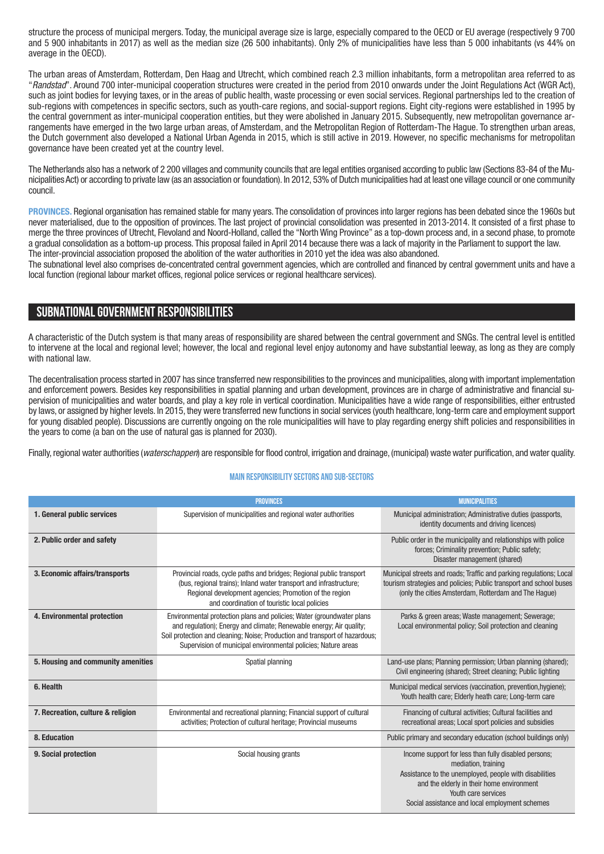structure the process of municipal mergers. Today, the municipal average size is large, especially compared to the OECD or EU average (respectively 9 700 and 5 900 inhabitants in 2017) as well as the median size (26 500 inhabitants). Only 2% of municipalities have less than 5 000 inhabitants (vs 44% on average in the OECD).

The urban areas of Amsterdam, Rotterdam, Den Haag and Utrecht, which combined reach 2.3 million inhabitants, form a metropolitan area referred to as "*Randstad*". Around 700 inter-municipal cooperation structures were created in the period from 2010 onwards under the Joint Regulations Act (WGR Act), such as joint bodies for levying taxes, or in the areas of public health, waste processing or even social services. Regional partnerships led to the creation of sub-regions with competences in specific sectors, such as youth-care regions, and social-support regions. Eight city-regions were established in 1995 by the central government as inter-municipal cooperation entities, but they were abolished in January 2015. Subsequently, new metropolitan governance arrangements have emerged in the two large urban areas, of Amsterdam, and the Metropolitan Region of Rotterdam-The Hague. To strengthen urban areas, the Dutch government also developed a National Urban Agenda in 2015, which is still active in 2019. However, no specific mechanisms for metropolitan governance have been created yet at the country level.

The Netherlands also has a network of 2 200 villages and community councils that are legal entities organised according to public law (Sections 83-84 of the Municipalities Act) or according to private law (as an association or foundation). In 2012, 53% of Dutch municipalities had at least one village council or one community council.

**PROVINCES.** Regional organisation has remained stable for many years. The consolidation of provinces into larger regions has been debated since the 1960s but never materialised, due to the opposition of provinces. The last project of provincial consolidation was presented in 2013-2014. It consisted of a first phase to merge the three provinces of Utrecht, Flevoland and Noord-Holland, called the "North Wing Province" as a top-down process and, in a second phase, to promote a gradual consolidation as a bottom-up process. This proposal failed in April 2014 because there was a lack of majority in the Parliament to support the law. The inter-provincial association proposed the abolition of the water authorities in 2010 yet the idea was also abandoned.

The subnational level also comprises de-concentrated central government agencies, which are controlled and financed by central government units and have a local function (regional labour market offices, regional police services or regional healthcare services).

# **SUBNATIONALGOVERNMENT RESPONSIBILITIES**

A characteristic of the Dutch system is that many areas of responsibility are shared between the central government and SNGs. The central level is entitled to intervene at the local and regional level; however, the local and regional level enjoy autonomy and have substantial leeway, as long as they are comply with national law.

The decentralisation process started in 2007 has since transferred new responsibilities to the provinces and municipalities, along with important implementation and enforcement powers. Besides key responsibilities in spatial planning and urban development, provinces are in charge of administrative and financial supervision of municipalities and water boards, and play a key role in vertical coordination. Municipalities have a wide range of responsibilities, either entrusted by laws, or assigned by higher levels. In 2015, they were transferred new functions in social services (youth healthcare, long-term care and employment support for young disabled people). Discussions are currently ongoing on the role municipalities will have to play regarding energy shift policies and responsibilities in the years to come (a ban on the use of natural gas is planned for 2030).

Finally, regional water authorities *(waterschappen*) are responsible for flood control, irrigation and drainage, (municipal) waste water purification, and water quality.

#### **Main responsibilitysectors and sub-sectors**

|                                    | <b>MUNICIPALITIES</b>                                                                                                                                                                                                                                                                        |                                                                                                                                                                                                                                                             |  |
|------------------------------------|----------------------------------------------------------------------------------------------------------------------------------------------------------------------------------------------------------------------------------------------------------------------------------------------|-------------------------------------------------------------------------------------------------------------------------------------------------------------------------------------------------------------------------------------------------------------|--|
| 1. General public services         | Supervision of municipalities and regional water authorities                                                                                                                                                                                                                                 | Municipal administration; Administrative duties (passports,<br>identity documents and driving licences)                                                                                                                                                     |  |
| 2. Public order and safety         |                                                                                                                                                                                                                                                                                              | Public order in the municipality and relationships with police<br>forces; Criminality prevention; Public safety;<br>Disaster management (shared)                                                                                                            |  |
| 3. Economic affairs/transports     | Provincial roads, cycle paths and bridges; Regional public transport<br>(bus, regional trains); Inland water transport and infrastructure;<br>Regional development agencies; Promotion of the region<br>and coordination of touristic local policies                                         | Municipal streets and roads; Traffic and parking regulations; Local<br>tourism strategies and policies; Public transport and school buses<br>(only the cities Amsterdam, Rotterdam and The Haque)                                                           |  |
| 4. Environmental protection        | Environmental protection plans and policies; Water (groundwater plans<br>and regulation); Energy and climate; Renewable energy; Air quality;<br>Soil protection and cleaning; Noise; Production and transport of hazardous;<br>Supervision of municipal environmental policies; Nature areas | Parks & green areas; Waste management; Sewerage;<br>Local environmental policy; Soil protection and cleaning                                                                                                                                                |  |
| 5. Housing and community amenities | Spatial planning                                                                                                                                                                                                                                                                             | Land-use plans; Planning permission; Urban planning (shared);<br>Civil engineering (shared); Street cleaning; Public lighting                                                                                                                               |  |
| 6. Health                          |                                                                                                                                                                                                                                                                                              | Municipal medical services (vaccination, prevention, hygiene);<br>Youth health care; Elderly heath care; Long-term care                                                                                                                                     |  |
| 7. Recreation, culture & religion  | Environmental and recreational planning; Financial support of cultural<br>activities; Protection of cultural heritage; Provincial museums                                                                                                                                                    | Financing of cultural activities; Cultural facilities and<br>recreational areas; Local sport policies and subsidies                                                                                                                                         |  |
| 8. Education                       |                                                                                                                                                                                                                                                                                              | Public primary and secondary education (school buildings only)                                                                                                                                                                                              |  |
| 9. Social protection               | Social housing grants                                                                                                                                                                                                                                                                        | Income support for less than fully disabled persons;<br>mediation, training<br>Assistance to the unemployed, people with disabilities<br>and the elderly in their home environment<br>Youth care services<br>Social assistance and local employment schemes |  |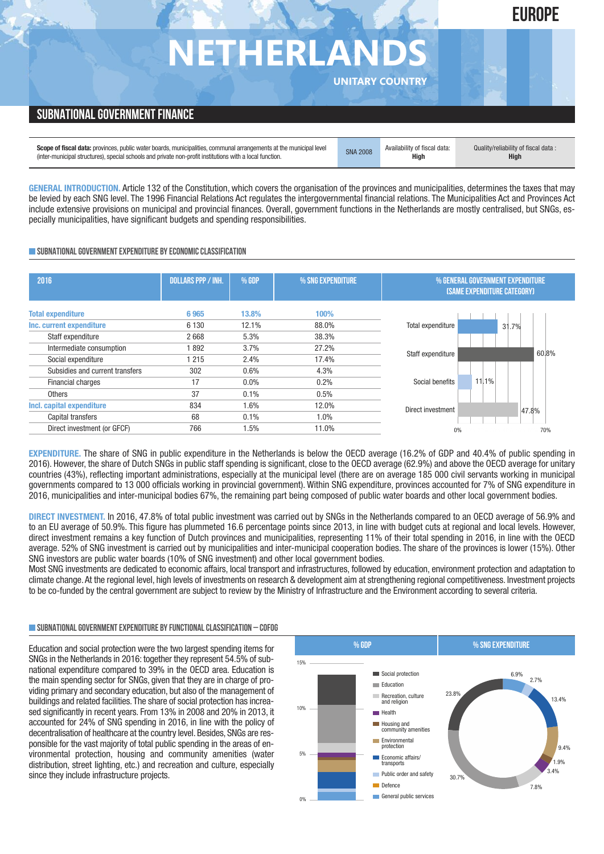# **NETHERLAN**

**UNITARY COUNTRY**

**EUROPE**

# **SUBNATIONAL GOVERNMENT FINANCE**

| <b>Scope of fiscal data:</b> provinces, public water boards, municipalities, communal arrangements at the municipal level | <b>SNA 2008</b> | Availability of fiscal data: | Quality/reliability of fiscal data: |
|---------------------------------------------------------------------------------------------------------------------------|-----------------|------------------------------|-------------------------------------|
| (inter-municipal structures), special schools and private non-profit institutions with a local function.                  |                 | High                         | High                                |

**GENERAL INTRODUCTION.** Article 132 of the Constitution, which covers the organisation of the provinces and municipalities, determines the taxes that may be levied by each SNG level. The 1996 Financial Relations Act regulates the intergovernmental financial relations. The Municipalities Act and Provinces Act include extensive provisions on municipal and provincial finances. Overall, government functions in the Netherlands are mostly centralised, but SNGs, especially municipalities, have significant budgets and spending responsibilities.

### **SUBNATIONALGOVERNMENTEXPENDITURE BYECONOMICCLASSIFICATION**

| 2016                                                                | <b>DOLLARS PPP / INH.</b> | % GDP                | % SNG EXPENDITURE       | % GENERAL GOVERNMENT EXPENDITURE<br><b>(SAME EXPENDITURE CATEGORY)</b> |
|---------------------------------------------------------------------|---------------------------|----------------------|-------------------------|------------------------------------------------------------------------|
| <b>Total expenditure</b>                                            | 6965                      | 13.8%                | 100%                    | Total expenditure                                                      |
| Inc. current expenditure                                            | 6 1 3 0                   | 12.1%                | 88.0%                   | 31.7%                                                                  |
| Staff expenditure<br>Intermediate consumption<br>Social expenditure | 2668<br>892<br>1 2 1 5    | 5.3%<br>3.7%<br>2.4% | 38.3%<br>27.2%<br>17.4% | 60.8%<br>Staff expenditure                                             |
| Subsidies and current transfers                                     | 302                       | $0.6\%$              | 4.3%                    | Social benefits                                                        |
| Financial charges                                                   | 17                        | $0.0\%$              | 0.2%                    | 11.1%                                                                  |
| <b>Others</b>                                                       | 37                        | 0.1%                 | 0.5%                    | Direct investment                                                      |
| Incl. capital expenditure                                           | 834                       | 1.6%                 | 12.0%                   | 47.8%                                                                  |
| Capital transfers                                                   | 68                        | 0.1%                 | 1.0%                    | 0%                                                                     |
| Direct investment (or GFCF)                                         | 766                       | 1.5%                 | 11.0%                   | 70%                                                                    |

**EXPENDITURE.** The share of SNG in public expenditure in the Netherlands is below the OECD average (16.2% of GDP and 40.4% of public spending in 2016). However, the share of Dutch SNGs in public staff spending is significant, close to the OECD average (62.9%) and above the OECD average for unitary countries (43%), reflecting important administrations, especially at the municipal level (there are on average 185 000 civil servants working in municipal governments compared to 13 000 officials working in provincial government). Within SNG expenditure, provinces accounted for 7% of SNG expenditure in 2016, municipalities and inter-municipal bodies 67%, the remaining part being composed of public water boards and other local government bodies.

**DIRECT INVESTMENT.** In 2016, 47.8% of total public investment was carried out by SNGs in the Netherlands compared to an OECD average of 56.9% and to an EU average of 50.9%. This figure has plummeted 16.6 percentage points since 2013, in line with budget cuts at regional and local levels. However, direct investment remains a key function of Dutch provinces and municipalities, representing 11% of their total spending in 2016, in line with the OECD average. 52% of SNG investment is carried out by municipalities and inter-municipal cooperation bodies. The share of the provinces is lower (15%). Other SNG investors are public water boards (10% of SNG investment) and other local government bodies.

Most SNG investments are dedicated to economic affairs, local transport and infrastructures, followed by education, environment protection and adaptation to climate change.At the regional level, high levels of investments on research & development aim at strengthening regional competitiveness. Investment projects to be co-funded by the central government are subject to review by the Ministry of Infrastructure and the Environment according to several criteria.

#### **SUBNATIONALGOVERNMENTEXPENDITURE BYFUNCTIONALCLASSIFICATION – COFOG**

Education and social protection were the two largest spending items for SNGs in the Netherlands in 2016: together they represent 54.5% of subnational expenditure compared to 39% in the OECD area. Education is the main spending sector for SNGs, given that they are in charge of providing primary and secondary education, but also of the management of buildings and related facilities. The share of social protection has increased significantly in recent years. From 13% in 2008 and 20% in 2013, it accounted for 24% of SNG spending in 2016, in line with the policy of decentralisation of healthcare at the country level. Besides, SNGs are responsible for the vast majority of total public spending in the areas of environmental protection, housing and community amenities (water distribution, street lighting, etc.) and recreation and culture, especially since they include infrastructure projects.